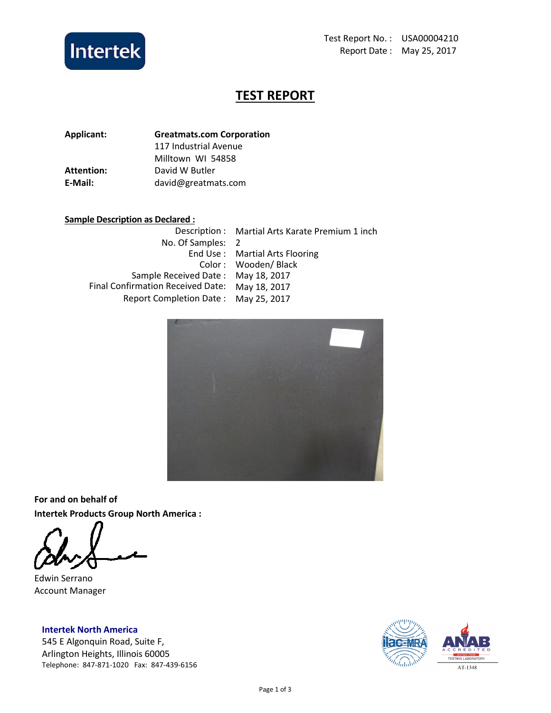

# TEST REPORT

| <b>Greatmats.com Corporation</b> |  |
|----------------------------------|--|
| 117 Industrial Avenue            |  |
| Milltown WI 54858                |  |
| David W Butler                   |  |
| david@greatmats.com              |  |
|                                  |  |

# Sample Description as Declared :

|                                                | Description: Martial Arts Karate Premium 1 inch |
|------------------------------------------------|-------------------------------------------------|
| No. Of Samples: 2                              |                                                 |
|                                                | End Use: Martial Arts Flooring                  |
|                                                | Color: Wooden/Black                             |
| Sample Received Date: May 18, 2017             |                                                 |
| Final Confirmation Received Date: May 18, 2017 |                                                 |
| Report Completion Date: May 25, 2017           |                                                 |



For and on behalf of Intertek Products Group North America :

Edwin Serrano Account Manager

Intertek North America 545 E Algonquin Road, Suite F, Arlington Heights, Illinois 60005 Telephone: 847-871-1020 Fax: 847-439-6156

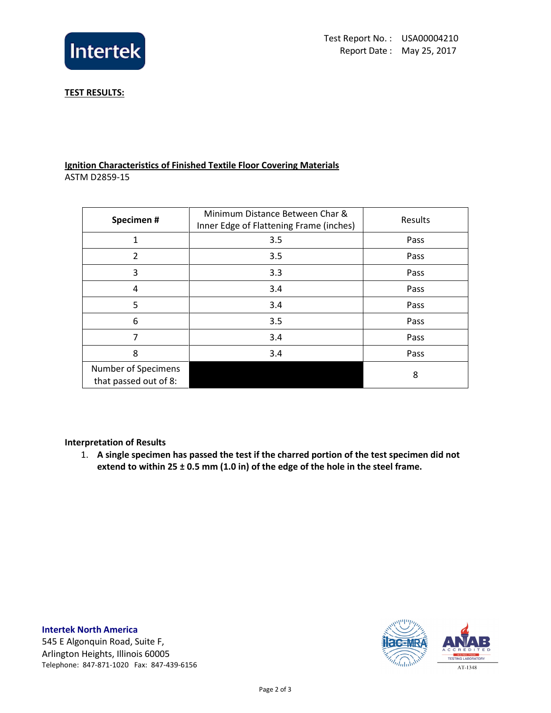

### TEST RESULTS:

## Ignition Characteristics of Finished Textile Floor Covering Materials ASTM D2859-15

| Specimen#                                    | Minimum Distance Between Char &<br>Inner Edge of Flattening Frame (inches) | Results |
|----------------------------------------------|----------------------------------------------------------------------------|---------|
| 1                                            | 3.5                                                                        | Pass    |
| 2                                            | 3.5                                                                        | Pass    |
| 3                                            | 3.3                                                                        | Pass    |
| 4                                            | 3.4                                                                        | Pass    |
| 5                                            | 3.4                                                                        | Pass    |
| 6                                            | 3.5                                                                        | Pass    |
| 7                                            | 3.4                                                                        | Pass    |
| 8                                            | 3.4                                                                        | Pass    |
| Number of Specimens<br>that passed out of 8: |                                                                            | 8       |

### Interpretation of Results

1. A single specimen has passed the test if the charred portion of the test specimen did not extend to within 25  $\pm$  0.5 mm (1.0 in) of the edge of the hole in the steel frame.

# Intertek North America

545 E Algonquin Road, Suite F, Arlington Heights, Illinois 60005 Telephone: 847-871-1020 Fax: 847-439-6156